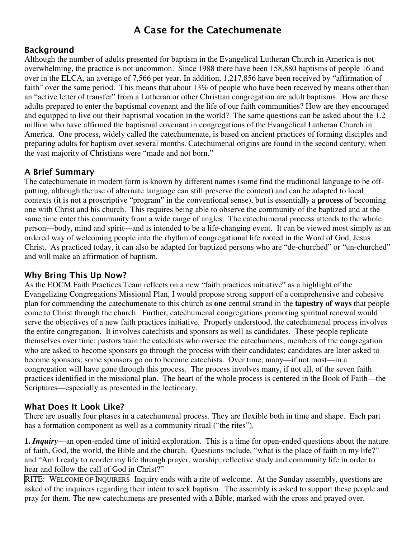# A Case for the Catechumenate

### Background

Although the number of adults presented for baptism in the Evangelical Lutheran Church in America is not overwhelming, the practice is not uncommon. Since 1988 there have been 158,880 baptisms of people 16 and over in the ELCA, an average of 7,566 per year. In addition, 1,217,856 have been received by "affirmation of faith" over the same period. This means that about 13% of people who have been received by means other than an "active letter of transfer" from a Lutheran or other Christian congregation are adult baptisms. How are these adults prepared to enter the baptismal covenant and the life of our faith communities? How are they encouraged and equipped to live out their baptismal vocation in the world? The same questions can be asked about the 1.2 million who have affirmed the baptismal covenant in congregations of the Evangelical Lutheran Church in America. One process, widely called the catechumenate, is based on ancient practices of forming disciples and preparing adults for baptism over several months. Catechumenal origins are found in the second century, when the vast majority of Christians were "made and not born."

## A Brief Summary

The catechumenate in modern form is known by different names (some find the traditional language to be offputting, although the use of alternate language can still preserve the content) and can be adapted to local contexts (it is not a proscriptive "program" in the conventional sense), but is essentially a **process** of becoming one with Christ and his church. This requires being able to observe the community of the baptized and at the same time enter this community from a wide range of angles. The catechumenal process attends to the whole person—body, mind and spirit—and is intended to be a life-changing event. It can be viewed most simply as an ordered way of welcoming people into the rhythm of congregational life rooted in the Word of God, Jesus Christ. As practiced today, it can also be adapted for baptized persons who are "de-churched" or "un-churched" and will make an affirmation of baptism.

### Why Bring This Up Now?

As the EOCM Faith Practices Team reflects on a new "faith practices initiative" as a highlight of the Evangelizing Congregations Missional Plan, I would propose strong support of a comprehensive and cohesive plan for commending the catechumenate to this church as **one** central strand in the **tapestry of ways** that people come to Christ through the church. Further, catechumenal congregations promoting spiritual renewal would serve the objectives of a new faith practices initiative. Properly understood, the catechumenal process involves the entire congregation. It involves catechists and sponsors as well as candidates. These people replicate themselves over time: pastors train the catechists who oversee the catechumens; members of the congregation who are asked to become sponsors go through the process with their candidates; candidates are later asked to become sponsors; some sponsors go on to become catechists. Over time, many—if not most—in a congregation will have gone through this process. The process involves many, if not all, of the seven faith practices identified in the missional plan. The heart of the whole process is centered in the Book of Faith—the Scriptures—especially as presented in the lectionary.

### What Does It Look Like?

There are usually four phases in a catechumenal process. They are flexible both in time and shape. Each part has a formation component as well as a community ritual ("the rites").

**1.** *Inquiry*—an open-ended time of initial exploration. This is a time for open-ended questions about the nature of faith, God, the world, the Bible and the church. Questions include, "what is the place of faith in my life?" and "Am I ready to reorder my life through prayer, worship, reflective study and community life in order to hear and follow the call of God in Christ?"

RITE: WELCOME OF INQUIRERS Inquiry ends with a rite of welcome. At the Sunday assembly, questions are asked of the inquirers regarding their intent to seek baptism. The assembly is asked to support these people and pray for them. The new catechumens are presented with a Bible, marked with the cross and prayed over.